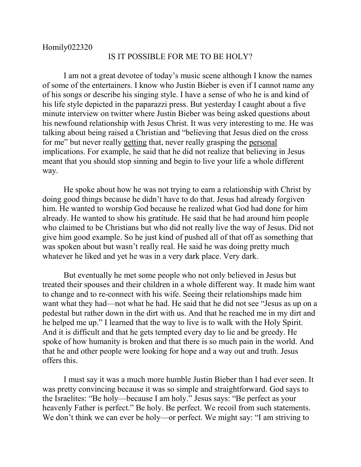## IS IT POSSIBLE FOR ME TO BE HOLY?

I am not a great devotee of today's music scene although I know the names of some of the entertainers. I know who Justin Bieber is even if I cannot name any of his songs or describe his singing style. I have a sense of who he is and kind of his life style depicted in the paparazzi press. But yesterday I caught about a five minute interview on twitter where Justin Bieber was being asked questions about his newfound relationship with Jesus Christ. It was very interesting to me. He was talking about being raised a Christian and "believing that Jesus died on the cross for me" but never really getting that, never really grasping the personal implications. For example, he said that he did not realize that believing in Jesus meant that you should stop sinning and begin to live your life a whole different way.

He spoke about how he was not trying to earn a relationship with Christ by doing good things because he didn't have to do that. Jesus had already forgiven him. He wanted to worship God because he realized what God had done for him already. He wanted to show his gratitude. He said that he had around him people who claimed to be Christians but who did not really live the way of Jesus. Did not give him good example. So he just kind of pushed all of that off as something that was spoken about but wasn't really real. He said he was doing pretty much whatever he liked and yet he was in a very dark place. Very dark.

But eventually he met some people who not only believed in Jesus but treated their spouses and their children in a whole different way. It made him want to change and to re-connect with his wife. Seeing their relationships made him want what they had—not what he had. He said that he did not see "Jesus as up on a pedestal but rather down in the dirt with us. And that he reached me in my dirt and he helped me up." I learned that the way to live is to walk with the Holy Spirit. And it is difficult and that he gets tempted every day to lie and be greedy. He spoke of how humanity is broken and that there is so much pain in the world. And that he and other people were looking for hope and a way out and truth. Jesus offers this.

I must say it was a much more humble Justin Bieber than I had ever seen. It was pretty convincing because it was so simple and straightforward. God says to the Israelites: "Be holy—because I am holy." Jesus says: "Be perfect as your heavenly Father is perfect." Be holy. Be perfect. We recoil from such statements. We don't think we can ever be holy—or perfect. We might say: "I am striving to